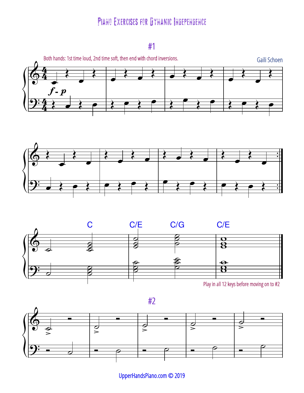## Piano Exercises for Dynamic Independence

<sup>#1</sup>







Play in all 12 keys before moving on to #2

#2



UpperHandsPiano.com © 2019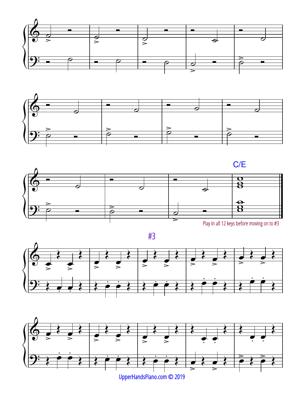





Play in all 12 keys before moving on to #3

#3





UpperHandsPiano.com © 2019